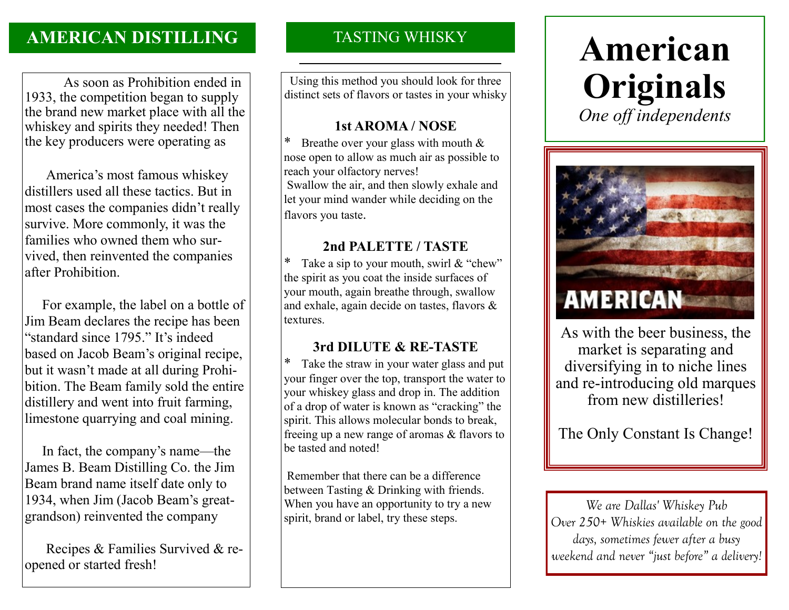# **AMERICAN DISTILLING**

 As soon as Prohibition ended in 1933, the competition began to supply the brand new market place with all the whiskey and spirits they needed! Then the key producers were operating as

America's most famous whiskey distillers used all these tactics. But in most cases the companies didn't really survive. More commonly, it was the families who owned them who survived, then reinvented the companies after Prohibition.

 For example, the label on a bottle of Jim Beam declares the recipe has been "standard since 1795." It's indeed based on Jacob Beam's original recipe, but it wasn't made at all during Prohibition. The Beam family sold the entire distillery and went into fruit farming, limestone quarrying and coal mining.

 In fact, the company's name—the James B. Beam Distilling Co. the Jim Beam brand name itself date only to 1934, when Jim (Jacob Beam's greatgrandson) reinvented the company

Recipes & Families Survived & reopened or started fresh!

## TASTING WHISKY

Using this method you should look for three distinct sets of flavors or tastes in your whisky

#### **1st AROMA / NOSE**

\* Breathe over your glass with mouth  $&$ nose open to allow as much air as possible to reach your olfactory nerves! Swallow the air, and then slowly exhale and let your mind wander while deciding on the flavors you taste.

### **2nd PALETTE / TASTE**

Take a sip to your mouth, swirl  $&$  "chew" the spirit as you coat the inside surfaces of your mouth, again breathe through, swallow and exhale, again decide on tastes, flavors & textures.

## **3rd DILUTE & RE-TASTE**

\* Take the straw in your water glass and put your finger over the top, transport the water to your whiskey glass and drop in. The addition of a drop of water is known as "cracking" the spirit. This allows molecular bonds to break, freeing up a new range of aromas & flavors to be tasted and noted!

Remember that there can be a difference between Tasting & Drinking with friends. When you have an opportunity to try a new spirit, brand or label, try these steps.

# **American Originals** *One off independents*



As with the beer business, the market is separating and diversifying in to niche lines and re-introducing old marques from new distilleries!

The Only Constant Is Change!

*We are Dallas' Whiskey Pub Over 250+ Whiskies available on the good days, sometimes fewer after a busy weekend and never "just before" a delivery!*